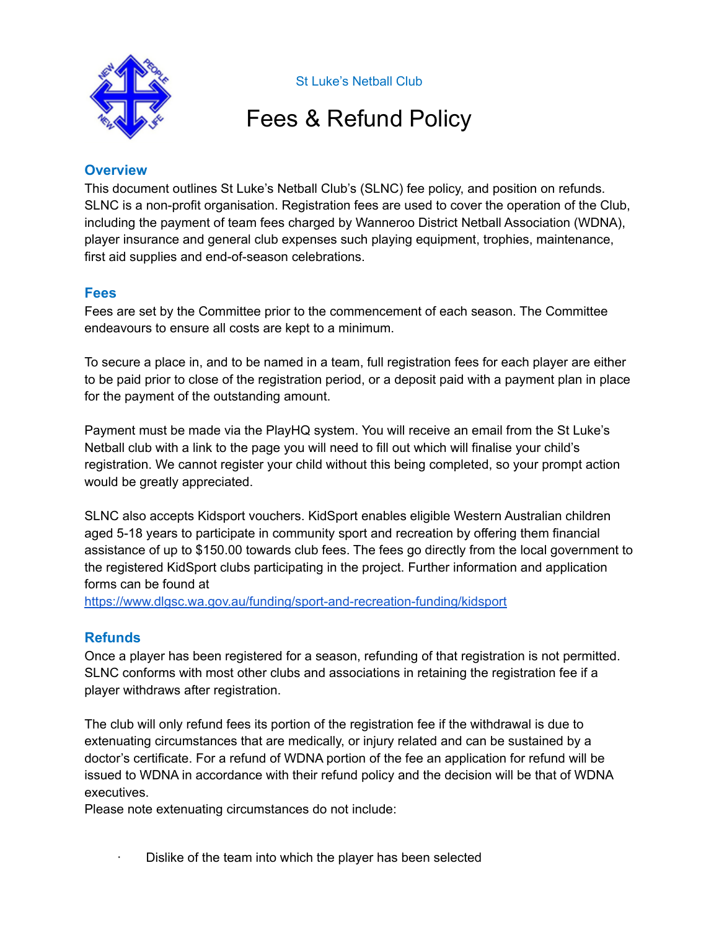

St Luke's Netball Club

## Fees & Refund Policy

## **Overview**

This document outlines St Luke's Netball Club's (SLNC) fee policy, and position on refunds. SLNC is a non-profit organisation. Registration fees are used to cover the operation of the Club, including the payment of team fees charged by Wanneroo District Netball Association (WDNA), player insurance and general club expenses such playing equipment, trophies, maintenance, first aid supplies and end-of-season celebrations.

## **Fees**

Fees are set by the Committee prior to the commencement of each season. The Committee endeavours to ensure all costs are kept to a minimum.

To secure a place in, and to be named in a team, full registration fees for each player are either to be paid prior to close of the registration period, or a deposit paid with a payment plan in place for the payment of the outstanding amount.

Payment must be made via the PlayHQ system. You will receive an email from the St Luke's Netball club with a link to the page you will need to fill out which will finalise your child's registration. We cannot register your child without this being completed, so your prompt action would be greatly appreciated.

SLNC also accepts Kidsport vouchers. KidSport enables eligible Western Australian children aged 5-18 years to participate in community sport and recreation by offering them financial assistance of up to \$150.00 towards club fees. The fees go directly from the local government to the registered KidSport clubs participating in the project. Further information and application forms can be found a[t](https://www.dlgsc.wa.gov.au/funding/sport-and-recreation-funding/kidsport)

<https://www.dlgsc.wa.gov.au/funding/sport-and-recreation-funding/kidsport>

## **Refunds**

Once a player has been registered for a season, refunding of that registration is not permitted. SLNC conforms with most other clubs and associations in retaining the registration fee if a player withdraws after registration.

The club will only refund fees its portion of the registration fee if the withdrawal is due to extenuating circumstances that are medically, or injury related and can be sustained by a doctor's certificate. For a refund of WDNA portion of the fee an application for refund will be issued to WDNA in accordance with their refund policy and the decision will be that of WDNA executives.

Please note extenuating circumstances do not include:

· Dislike of the team into which the player has been selected